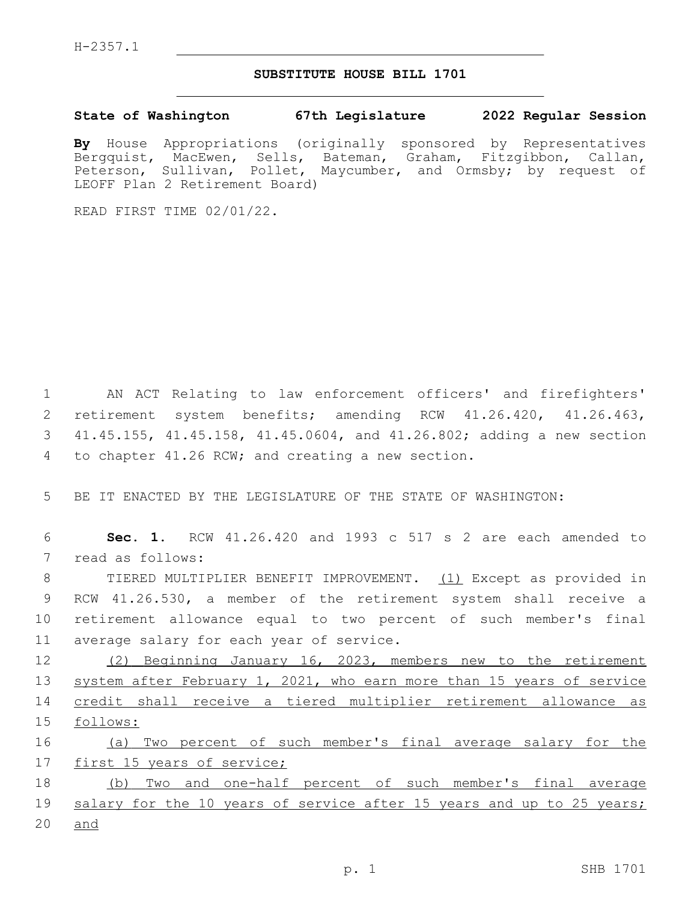## **SUBSTITUTE HOUSE BILL 1701**

**State of Washington 67th Legislature 2022 Regular Session**

**By** House Appropriations (originally sponsored by Representatives Bergquist, MacEwen, Sells, Bateman, Graham, Fitzgibbon, Callan, Peterson, Sullivan, Pollet, Maycumber, and Ormsby; by request of LEOFF Plan 2 Retirement Board)

READ FIRST TIME 02/01/22.

 AN ACT Relating to law enforcement officers' and firefighters' retirement system benefits; amending RCW 41.26.420, 41.26.463, 41.45.155, 41.45.158, 41.45.0604, and 41.26.802; adding a new section 4 to chapter 41.26 RCW; and creating a new section.

5 BE IT ENACTED BY THE LEGISLATURE OF THE STATE OF WASHINGTON:

6 **Sec. 1.** RCW 41.26.420 and 1993 c 517 s 2 are each amended to 7 read as follows:

 TIERED MULTIPLIER BENEFIT IMPROVEMENT. (1) Except as provided in RCW 41.26.530, a member of the retirement system shall receive a retirement allowance equal to two percent of such member's final 11 average salary for each year of service.

 (2) Beginning January 16, 2023, members new to the retirement system after February 1, 2021, who earn more than 15 years of service credit shall receive a tiered multiplier retirement allowance as 15 follows:

16 (a) Two percent of such member's final average salary for the 17 first 15 years of service;

18 (b) Two and one-half percent of such member's final average 19 salary for the 10 years of service after 15 years and up to 25 years; 20 and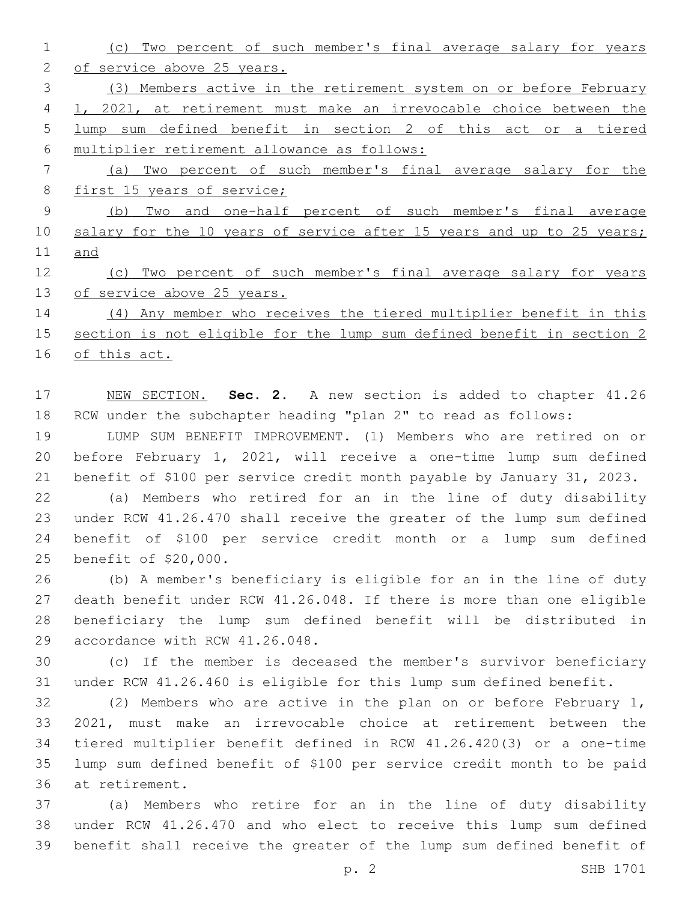(c) Two percent of such member's final average salary for years of service above 25 years. (3) Members active in the retirement system on or before February 1, 2021, at retirement must make an irrevocable choice between the lump sum defined benefit in section 2 of this act or a tiered multiplier retirement allowance as follows: (a) Two percent of such member's final average salary for the 8 first 15 years of service; (b) Two and one-half percent of such member's final average 10 salary for the 10 years of service after 15 years and up to 25 years; and (c) Two percent of such member's final average salary for years of service above 25 years. (4) Any member who receives the tiered multiplier benefit in this section is not eligible for the lump sum defined benefit in section 2

of this act.

 NEW SECTION. **Sec. 2.** A new section is added to chapter 41.26 RCW under the subchapter heading "plan 2" to read as follows:

 LUMP SUM BENEFIT IMPROVEMENT. (1) Members who are retired on or before February 1, 2021, will receive a one-time lump sum defined benefit of \$100 per service credit month payable by January 31, 2023.

 (a) Members who retired for an in the line of duty disability under RCW 41.26.470 shall receive the greater of the lump sum defined benefit of \$100 per service credit month or a lump sum defined 25 benefit of \$20,000.

 (b) A member's beneficiary is eligible for an in the line of duty death benefit under RCW 41.26.048. If there is more than one eligible beneficiary the lump sum defined benefit will be distributed in 29 accordance with RCW 41.26.048.

 (c) If the member is deceased the member's survivor beneficiary under RCW 41.26.460 is eligible for this lump sum defined benefit.

 (2) Members who are active in the plan on or before February 1, 2021, must make an irrevocable choice at retirement between the tiered multiplier benefit defined in RCW 41.26.420(3) or a one-time lump sum defined benefit of \$100 per service credit month to be paid 36 at retirement.

 (a) Members who retire for an in the line of duty disability under RCW 41.26.470 and who elect to receive this lump sum defined benefit shall receive the greater of the lump sum defined benefit of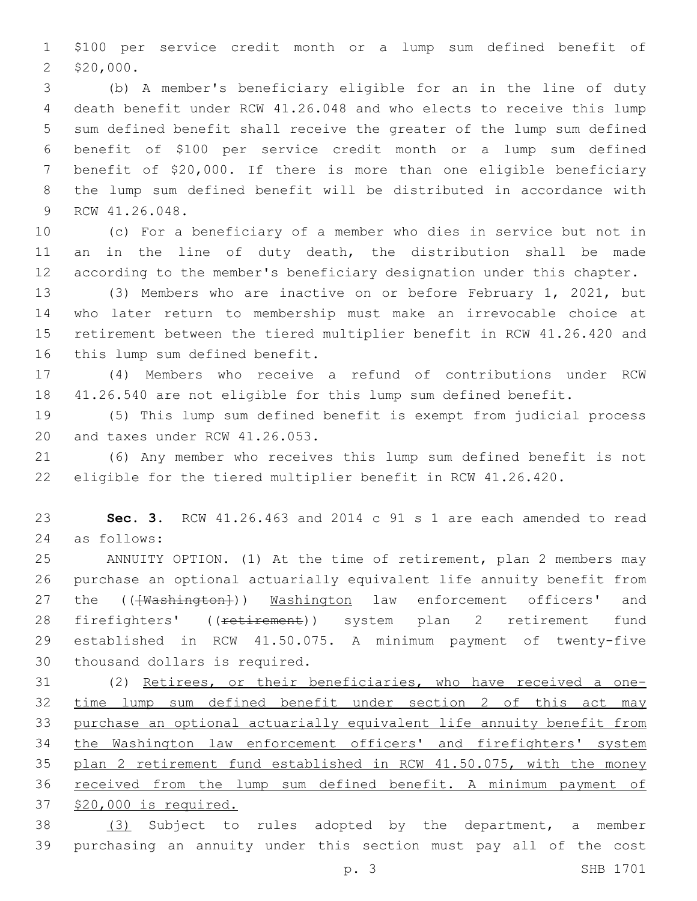\$100 per service credit month or a lump sum defined benefit of \$20,000.

 (b) A member's beneficiary eligible for an in the line of duty death benefit under RCW 41.26.048 and who elects to receive this lump sum defined benefit shall receive the greater of the lump sum defined benefit of \$100 per service credit month or a lump sum defined benefit of \$20,000. If there is more than one eligible beneficiary the lump sum defined benefit will be distributed in accordance with 9 RCW 41.26.048.

 (c) For a beneficiary of a member who dies in service but not in 11 an in the line of duty death, the distribution shall be made according to the member's beneficiary designation under this chapter.

 (3) Members who are inactive on or before February 1, 2021, but who later return to membership must make an irrevocable choice at retirement between the tiered multiplier benefit in RCW 41.26.420 and 16 this lump sum defined benefit.

 (4) Members who receive a refund of contributions under RCW 41.26.540 are not eligible for this lump sum defined benefit.

 (5) This lump sum defined benefit is exempt from judicial process 20 and taxes under RCW 41.26.053.

 (6) Any member who receives this lump sum defined benefit is not eligible for the tiered multiplier benefit in RCW 41.26.420.

 **Sec. 3.** RCW 41.26.463 and 2014 c 91 s 1 are each amended to read as follows:24

 ANNUITY OPTION. (1) At the time of retirement, plan 2 members may purchase an optional actuarially equivalent life annuity benefit from 27 the (( $\overline{\text{Washington}}}$ )) Washington law enforcement officers' and 28 firefighters' ((retirement)) system plan 2 retirement fund established in RCW 41.50.075. A minimum payment of twenty-five 30 thousand dollars is required.

 (2) Retirees, or their beneficiaries, who have received a one- time lump sum defined benefit under section 2 of this act may purchase an optional actuarially equivalent life annuity benefit from the Washington law enforcement officers' and firefighters' system 35 plan 2 retirement fund established in RCW 41.50.075, with the money received from the lump sum defined benefit. A minimum payment of \$20,000 is required.

 (3) Subject to rules adopted by the department, a member purchasing an annuity under this section must pay all of the cost

p. 3 SHB 1701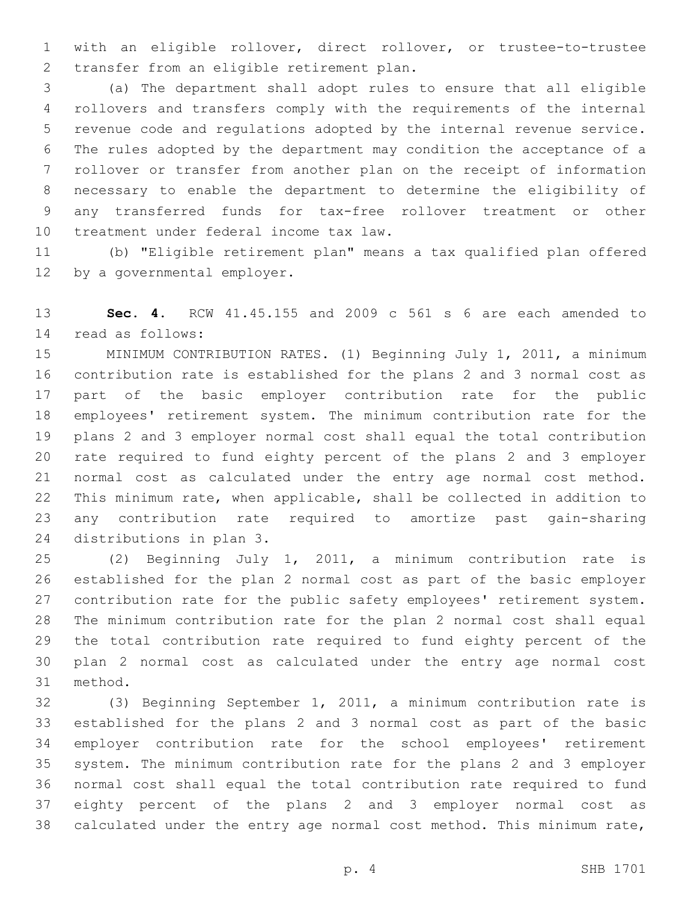with an eligible rollover, direct rollover, or trustee-to-trustee 2 transfer from an eligible retirement plan.

 (a) The department shall adopt rules to ensure that all eligible rollovers and transfers comply with the requirements of the internal revenue code and regulations adopted by the internal revenue service. The rules adopted by the department may condition the acceptance of a rollover or transfer from another plan on the receipt of information necessary to enable the department to determine the eligibility of any transferred funds for tax-free rollover treatment or other 10 treatment under federal income tax law.

 (b) "Eligible retirement plan" means a tax qualified plan offered 12 by a governmental employer.

 **Sec. 4.** RCW 41.45.155 and 2009 c 561 s 6 are each amended to read as follows:14

 MINIMUM CONTRIBUTION RATES. (1) Beginning July 1, 2011, a minimum contribution rate is established for the plans 2 and 3 normal cost as part of the basic employer contribution rate for the public employees' retirement system. The minimum contribution rate for the plans 2 and 3 employer normal cost shall equal the total contribution rate required to fund eighty percent of the plans 2 and 3 employer normal cost as calculated under the entry age normal cost method. This minimum rate, when applicable, shall be collected in addition to any contribution rate required to amortize past gain-sharing 24 distributions in plan 3.

 (2) Beginning July 1, 2011, a minimum contribution rate is established for the plan 2 normal cost as part of the basic employer contribution rate for the public safety employees' retirement system. The minimum contribution rate for the plan 2 normal cost shall equal the total contribution rate required to fund eighty percent of the plan 2 normal cost as calculated under the entry age normal cost 31 method.

 (3) Beginning September 1, 2011, a minimum contribution rate is established for the plans 2 and 3 normal cost as part of the basic employer contribution rate for the school employees' retirement system. The minimum contribution rate for the plans 2 and 3 employer normal cost shall equal the total contribution rate required to fund eighty percent of the plans 2 and 3 employer normal cost as calculated under the entry age normal cost method. This minimum rate,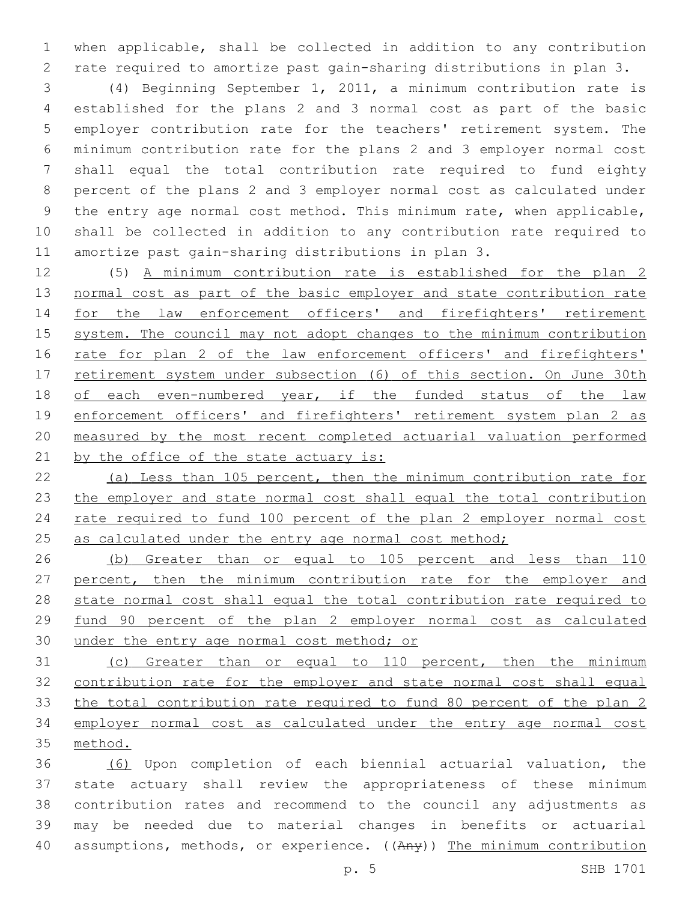when applicable, shall be collected in addition to any contribution rate required to amortize past gain-sharing distributions in plan 3.

 (4) Beginning September 1, 2011, a minimum contribution rate is established for the plans 2 and 3 normal cost as part of the basic employer contribution rate for the teachers' retirement system. The minimum contribution rate for the plans 2 and 3 employer normal cost shall equal the total contribution rate required to fund eighty percent of the plans 2 and 3 employer normal cost as calculated under the entry age normal cost method. This minimum rate, when applicable, shall be collected in addition to any contribution rate required to amortize past gain-sharing distributions in plan 3.

 (5) A minimum contribution rate is established for the plan 2 normal cost as part of the basic employer and state contribution rate for the law enforcement officers' and firefighters' retirement system. The council may not adopt changes to the minimum contribution 16 rate for plan 2 of the law enforcement officers' and firefighters' 17 retirement system under subsection (6) of this section. On June 30th of each even-numbered year, if the funded status of the law 19 enforcement officers' and firefighters' retirement system plan 2 as measured by the most recent completed actuarial valuation performed 21 by the office of the state actuary is:

 (a) Less than 105 percent, then the minimum contribution rate for the employer and state normal cost shall equal the total contribution rate required to fund 100 percent of the plan 2 employer normal cost 25 as calculated under the entry age normal cost method;

 (b) Greater than or equal to 105 percent and less than 110 percent, then the minimum contribution rate for the employer and state normal cost shall equal the total contribution rate required to fund 90 percent of the plan 2 employer normal cost as calculated 30 under the entry age normal cost method; or

 (c) Greater than or equal to 110 percent, then the minimum contribution rate for the employer and state normal cost shall equal the total contribution rate required to fund 80 percent of the plan 2 employer normal cost as calculated under the entry age normal cost method.

 (6) Upon completion of each biennial actuarial valuation, the state actuary shall review the appropriateness of these minimum contribution rates and recommend to the council any adjustments as may be needed due to material changes in benefits or actuarial 40 assumptions, methods, or experience. ((Any)) The minimum contribution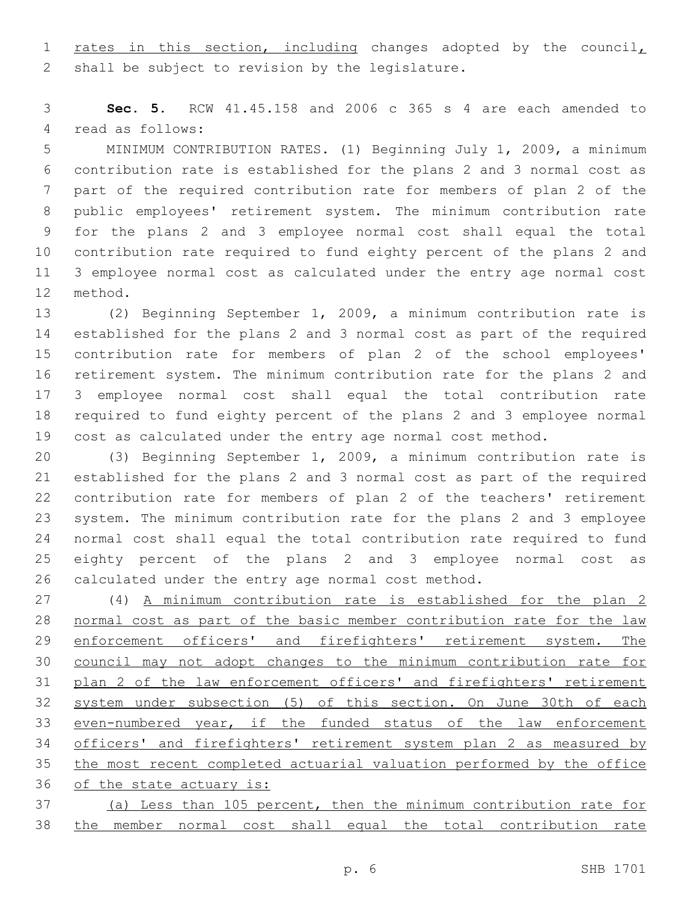1 rates in this section, including changes adopted by the council, 2 shall be subject to revision by the legislature.

 **Sec. 5.** RCW 41.45.158 and 2006 c 365 s 4 are each amended to 4 read as follows:

 MINIMUM CONTRIBUTION RATES. (1) Beginning July 1, 2009, a minimum contribution rate is established for the plans 2 and 3 normal cost as part of the required contribution rate for members of plan 2 of the public employees' retirement system. The minimum contribution rate for the plans 2 and 3 employee normal cost shall equal the total contribution rate required to fund eighty percent of the plans 2 and 3 employee normal cost as calculated under the entry age normal cost 12 method.

 (2) Beginning September 1, 2009, a minimum contribution rate is established for the plans 2 and 3 normal cost as part of the required contribution rate for members of plan 2 of the school employees' retirement system. The minimum contribution rate for the plans 2 and 3 employee normal cost shall equal the total contribution rate required to fund eighty percent of the plans 2 and 3 employee normal cost as calculated under the entry age normal cost method.

 (3) Beginning September 1, 2009, a minimum contribution rate is established for the plans 2 and 3 normal cost as part of the required contribution rate for members of plan 2 of the teachers' retirement system. The minimum contribution rate for the plans 2 and 3 employee normal cost shall equal the total contribution rate required to fund eighty percent of the plans 2 and 3 employee normal cost as calculated under the entry age normal cost method.

 (4) A minimum contribution rate is established for the plan 2 normal cost as part of the basic member contribution rate for the law 29 enforcement officers' and firefighters' retirement system. The council may not adopt changes to the minimum contribution rate for plan 2 of the law enforcement officers' and firefighters' retirement system under subsection (5) of this section. On June 30th of each even-numbered year, if the funded status of the law enforcement officers' and firefighters' retirement system plan 2 as measured by the most recent completed actuarial valuation performed by the office of the state actuary is:

 (a) Less than 105 percent, then the minimum contribution rate for the member normal cost shall equal the total contribution rate

p. 6 SHB 1701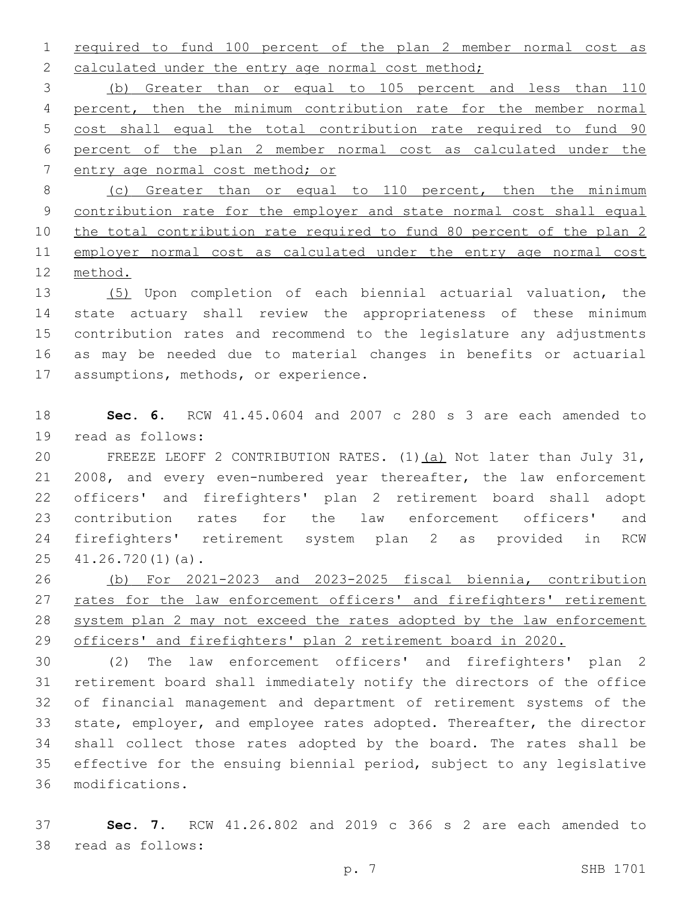required to fund 100 percent of the plan 2 member normal cost as 2 calculated under the entry age normal cost method;

 (b) Greater than or equal to 105 percent and less than 110 percent, then the minimum contribution rate for the member normal cost shall equal the total contribution rate required to fund 90 percent of the plan 2 member normal cost as calculated under the entry age normal cost method; or

 (c) Greater than or equal to 110 percent, then the minimum contribution rate for the employer and state normal cost shall equal the total contribution rate required to fund 80 percent of the plan 2 11 employer normal cost as calculated under the entry age normal cost method.

 (5) Upon completion of each biennial actuarial valuation, the state actuary shall review the appropriateness of these minimum contribution rates and recommend to the legislature any adjustments as may be needed due to material changes in benefits or actuarial 17 assumptions, methods, or experience.

 **Sec. 6.** RCW 41.45.0604 and 2007 c 280 s 3 are each amended to 19 read as follows:

 FREEZE LEOFF 2 CONTRIBUTION RATES. (1)(a) Not later than July 31, 2008, and every even-numbered year thereafter, the law enforcement officers' and firefighters' plan 2 retirement board shall adopt contribution rates for the law enforcement officers' and firefighters' retirement system plan 2 as provided in RCW  $41.26.720(1)(a)$ .

 (b) For 2021-2023 and 2023-2025 fiscal biennia, contribution 27 rates for the law enforcement officers' and firefighters' retirement system plan 2 may not exceed the rates adopted by the law enforcement officers' and firefighters' plan 2 retirement board in 2020.

 (2) The law enforcement officers' and firefighters' plan 2 retirement board shall immediately notify the directors of the office of financial management and department of retirement systems of the state, employer, and employee rates adopted. Thereafter, the director shall collect those rates adopted by the board. The rates shall be effective for the ensuing biennial period, subject to any legislative modifications.36

 **Sec. 7.** RCW 41.26.802 and 2019 c 366 s 2 are each amended to 38 read as follows: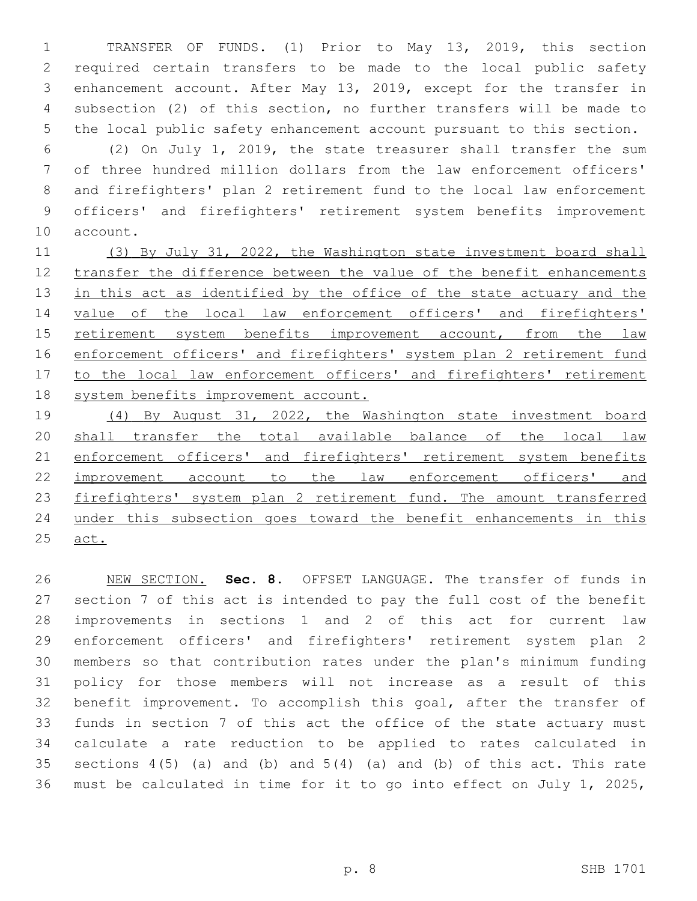TRANSFER OF FUNDS. (1) Prior to May 13, 2019, this section required certain transfers to be made to the local public safety enhancement account. After May 13, 2019, except for the transfer in subsection (2) of this section, no further transfers will be made to the local public safety enhancement account pursuant to this section.

 (2) On July 1, 2019, the state treasurer shall transfer the sum of three hundred million dollars from the law enforcement officers' and firefighters' plan 2 retirement fund to the local law enforcement officers' and firefighters' retirement system benefits improvement 10 account.

11 (3) By July 31, 2022, the Washington state investment board shall transfer the difference between the value of the benefit enhancements 13 in this act as identified by the office of the state actuary and the value of the local law enforcement officers' and firefighters' retirement system benefits improvement account, from the law 16 enforcement officers' and firefighters' system plan 2 retirement fund 17 to the local law enforcement officers' and firefighters' retirement system benefits improvement account.

 (4) By August 31, 2022, the Washington state investment board shall transfer the total available balance of the local law 21 enforcement officers' and firefighters' retirement system benefits improvement account to the law enforcement officers' and firefighters' system plan 2 retirement fund. The amount transferred under this subsection goes toward the benefit enhancements in this act.

 NEW SECTION. **Sec. 8.** OFFSET LANGUAGE. The transfer of funds in section 7 of this act is intended to pay the full cost of the benefit improvements in sections 1 and 2 of this act for current law enforcement officers' and firefighters' retirement system plan 2 members so that contribution rates under the plan's minimum funding policy for those members will not increase as a result of this benefit improvement. To accomplish this goal, after the transfer of funds in section 7 of this act the office of the state actuary must calculate a rate reduction to be applied to rates calculated in 35 sections  $4(5)$  (a) and (b) and  $5(4)$  (a) and (b) of this act. This rate must be calculated in time for it to go into effect on July 1, 2025,